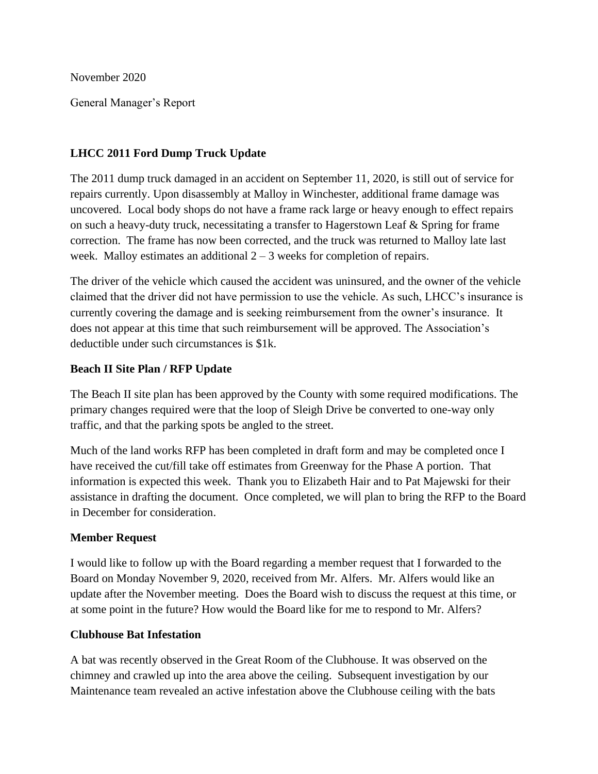November 2020

General Manager's Report

## **LHCC 2011 Ford Dump Truck Update**

The 2011 dump truck damaged in an accident on September 11, 2020, is still out of service for repairs currently. Upon disassembly at Malloy in Winchester, additional frame damage was uncovered. Local body shops do not have a frame rack large or heavy enough to effect repairs on such a heavy-duty truck, necessitating a transfer to Hagerstown Leaf & Spring for frame correction. The frame has now been corrected, and the truck was returned to Malloy late last week. Malloy estimates an additional  $2 - 3$  weeks for completion of repairs.

The driver of the vehicle which caused the accident was uninsured, and the owner of the vehicle claimed that the driver did not have permission to use the vehicle. As such, LHCC's insurance is currently covering the damage and is seeking reimbursement from the owner's insurance. It does not appear at this time that such reimbursement will be approved. The Association's deductible under such circumstances is \$1k.

### **Beach II Site Plan / RFP Update**

The Beach II site plan has been approved by the County with some required modifications. The primary changes required were that the loop of Sleigh Drive be converted to one-way only traffic, and that the parking spots be angled to the street.

Much of the land works RFP has been completed in draft form and may be completed once I have received the cut/fill take off estimates from Greenway for the Phase A portion. That information is expected this week. Thank you to Elizabeth Hair and to Pat Majewski for their assistance in drafting the document. Once completed, we will plan to bring the RFP to the Board in December for consideration.

### **Member Request**

I would like to follow up with the Board regarding a member request that I forwarded to the Board on Monday November 9, 2020, received from Mr. Alfers. Mr. Alfers would like an update after the November meeting. Does the Board wish to discuss the request at this time, or at some point in the future? How would the Board like for me to respond to Mr. Alfers?

### **Clubhouse Bat Infestation**

A bat was recently observed in the Great Room of the Clubhouse. It was observed on the chimney and crawled up into the area above the ceiling. Subsequent investigation by our Maintenance team revealed an active infestation above the Clubhouse ceiling with the bats